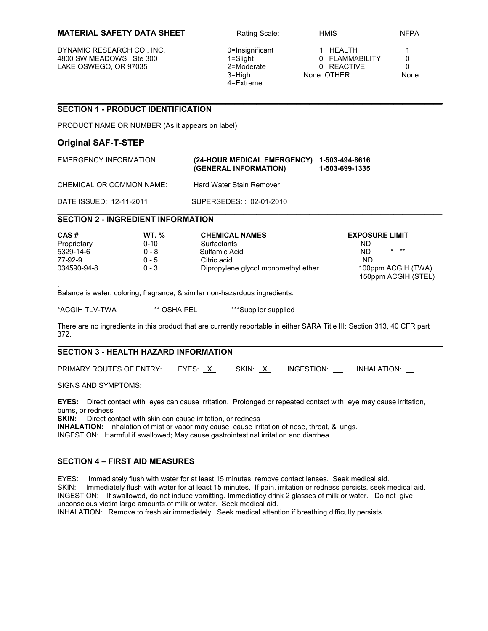### **MATERIAL SAFETY DATA SHEET** Rating Scale: HMIS NEPA

DYNAMIC RESEARCH CO., INC.  $0=$  Insignificant 1 HEALTH 1 4800 SW MEADOWS Ste 300 1=Slight 1 and 10 FLAMMABILITY 0<br>
14800 LAKE OSWEGO, OR 97035 2=Moderate 0 20 REACTIVE 0 LAKE OSWEGO, OR 97035 2=Moderate 0 REACTIVE 0

4=Extreme

3=High None OTHER None

## **\_\_\_\_\_\_\_\_\_\_\_\_\_\_\_\_\_\_\_\_\_\_\_\_\_\_\_\_\_\_\_\_\_\_\_\_\_\_\_\_\_\_\_\_\_\_\_\_\_\_\_\_\_\_\_\_\_\_\_\_\_\_\_\_\_\_\_\_\_\_\_\_\_\_\_\_\_\_\_\_\_\_\_\_\_\_\_ SECTION 1 - PRODUCT IDENTIFICATION**

PRODUCT NAME OR NUMBER (As it appears on label)

# **Original SAF-T-STEP**

| EMERGENCY INFORMATION:   | (24-HOUR MEDICAL EMERGENCY) 1-503-494-8616<br>(GENERAL INFORMATION) | 1-503-699-1335 |
|--------------------------|---------------------------------------------------------------------|----------------|
| CHEMICAL OR COMMON NAME: | Hard Water Stain Remover                                            |                |
| DATE ISSUED: 12-11-2011  | SUPERSEDES:: 02-01-2010                                             |                |

### **\_\_\_\_\_\_\_\_\_\_\_\_\_\_\_\_\_\_\_\_\_\_\_\_\_\_\_\_\_\_\_\_\_\_\_\_\_\_\_\_\_\_\_\_\_\_\_\_\_\_\_\_\_\_\_\_\_\_\_\_\_\_\_\_\_\_\_\_\_\_\_\_\_\_\_\_\_\_\_\_\_\_\_\_\_\_\_ SECTION 2 - INGREDIENT INFORMATION**

| CAS#        | WT. %   | <b>CHEMICAL NAMES</b>               | <b>EXPOSURE LIMIT</b>                     |  |
|-------------|---------|-------------------------------------|-------------------------------------------|--|
| Proprietary | 0-10    | <b>Surfactants</b>                  | ND                                        |  |
| 5329-14-6   | ი - გ   | Sulfamic Acid                       | $*$ $**$<br>ND.                           |  |
| 77-92-9     | $0 - 5$ | Citric acid                         | ND.                                       |  |
| 034590-94-8 | $0 - 3$ | Dipropylene glycol monomethyl ether | 100ppm ACGIH (TWA)<br>150ppm ACGIH (STEL) |  |

. Balance is water, coloring, fragrance, & similar non-hazardous ingredients.

\*ACGIH TLV-TWA \*\* OSHA PEL \*\*\*Supplier supplied

There are no ingredients in this product that are currently reportable in either SARA Title III: Section 313, 40 CFR part 372.

#### **\_\_\_\_\_\_\_\_\_\_\_\_\_\_\_\_\_\_\_\_\_\_\_\_\_\_\_\_\_\_\_\_\_\_\_\_\_\_\_\_\_\_\_\_\_\_\_\_\_\_\_\_\_\_\_\_\_\_\_\_\_\_\_\_\_\_\_\_\_\_\_\_\_\_\_\_\_\_\_\_\_\_\_\_\_\_\_ SECTION 3 - HEALTH HAZARD INFORMATION**

| <b>PRIMARY ROUTES OF ENTRY:</b> | EYES: X | SKIN: X | INGESTION: | <b>INHALATION:</b> |
|---------------------------------|---------|---------|------------|--------------------|
|                                 |         |         |            |                    |

SIGNS AND SYMPTOMS:

**EYES:** Direct contact with eyes can cause irritation. Prolonged or repeated contact with eye may cause irritation, burns, or redness

**SKIN:** Direct contact with skin can cause irritation, or redness

**INHALATION:** Inhalation of mist or vapor may cause cause irritation of nose, throat, & lungs.

INGESTION: Harmful if swallowed; May cause gastrointestinal irritation and diarrhea.

## **SECTION 4 – FIRST AID MEASURES**

EYES: Immediately flush with water for at least 15 minutes, remove contact lenses. Seek medical aid. SKIN: Immediately flush with water for at least 15 minutes, If pain, irritation or redness persists, seek medical aid. INGESTION: If swallowed, do not induce vomitting. Immediatley drink 2 glasses of milk or water. Do not give unconscious victim large amounts of milk or water. Seek medical aid.

**\_\_\_\_\_\_\_\_\_\_\_\_\_\_\_\_\_\_\_\_\_\_\_\_\_\_\_\_\_\_\_\_\_\_\_\_\_\_\_\_\_\_\_\_\_\_\_\_\_\_\_\_\_\_\_\_\_\_\_\_\_\_\_\_\_\_\_\_\_\_\_\_\_\_\_\_\_\_\_\_\_\_\_\_\_\_\_**

INHALATION: Remove to fresh air immediately. Seek medical attention if breathing difficulty persists.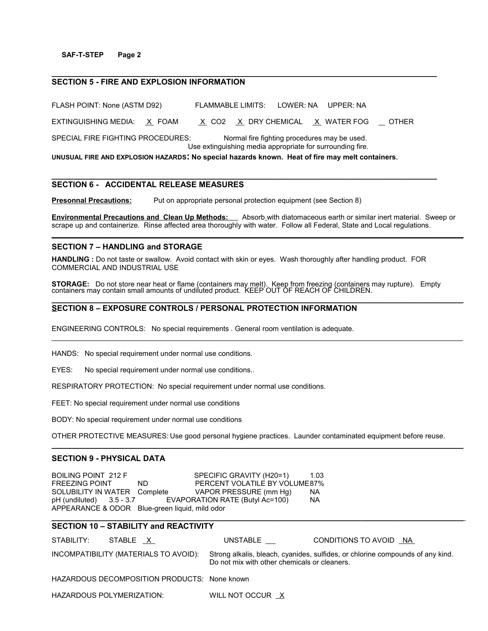### **SAF-T-STEP Page 2**

## **SECTION 5 - FIRE AND EXPLOSION INFORMATION**

FLASH POINT: None (ASTM D92) FLAMMABLE LIMITS: LOWER: NA UPPER: NA EXTINGUISHING MEDIA:  $X$  FOAM  $X$  CO2  $X$  DRY CHEMICAL  $X$  WATER FOG  $\Box$  OTHER SPECIAL FIRE FIGHTING PROCEDURES: Normal fire fighting procedures may be used. Use extinguishing media appropriate for surrounding fire. **UNUSUAL FIRE AND EXPLOSION HAZARDS: No special hazards known. Heat of fire may melt containers.**

**\_\_\_\_\_\_\_\_\_\_\_\_\_\_\_\_\_\_\_\_\_\_\_\_\_\_\_\_\_\_\_\_\_\_\_\_\_\_\_\_\_\_\_\_\_\_\_\_\_\_\_\_\_\_\_\_\_\_\_\_\_\_\_\_\_\_\_\_\_\_\_\_\_\_\_\_\_\_\_\_\_\_\_\_\_\_\_**

**\_\_\_\_\_\_\_\_\_\_\_\_\_\_\_\_\_\_\_\_\_\_\_\_\_\_\_\_\_\_\_\_\_\_\_\_\_\_\_\_\_\_\_\_\_\_\_\_\_\_\_\_\_\_\_\_\_\_\_\_\_\_\_\_\_\_\_\_\_\_\_\_\_\_\_\_\_\_\_\_\_\_\_\_\_\_\_**

# **SECTION 6 - ACCIDENTAL RELEASE MEASURES**

**Presonnal Precautions:** Put on appropriate personal protection equipment (see Section 8)

**Environmental Precautions and Clean Up Methods:** Absorb with diatomaceous earth or similar inert material. Sweep or scrape up and containerize. Rinse affected area thoroughly with water. Follow all Federal, State and Local regulations. **\_\_\_\_\_\_\_\_\_\_\_\_\_\_\_\_\_\_\_\_\_\_\_\_\_\_\_\_\_\_\_\_\_\_\_\_\_\_\_\_\_\_\_\_\_\_\_\_\_\_\_\_\_\_\_\_\_\_\_\_\_\_\_\_\_\_\_\_\_\_\_\_\_\_\_\_\_\_\_\_\_\_\_\_\_\_\_\_\_\_\_\_\_**

### **SECTION 7 – HANDLING and STORAGE**

**HANDLING :** Do not taste or swallow. Avoid contact with skin or eyes. Wash thoroughly after handling product. FOR COMMERCIAL AND INDUSTRIAL USE

**STORAGE:** Do not store near heat or flame (containers may melt). Keep from freezing (containers may rupture). Empty containers may contain small amounts of undiluted product. KEEP OUT OF REACH OF CHILDREN. **\_\_\_\_\_\_\_\_\_\_\_\_\_\_\_\_\_\_\_\_\_\_\_\_\_\_\_\_\_\_\_\_\_\_\_\_\_\_\_\_\_\_\_\_\_\_\_\_\_\_\_\_\_\_\_\_\_\_\_\_\_\_\_\_\_\_\_\_\_\_\_\_\_\_\_\_\_\_\_\_\_\_\_\_\_\_\_\_\_\_\_\_\_**

 $\mathcal{L}_\mathcal{L} = \mathcal{L}_\mathcal{L} = \mathcal{L}_\mathcal{L} = \mathcal{L}_\mathcal{L} = \mathcal{L}_\mathcal{L} = \mathcal{L}_\mathcal{L} = \mathcal{L}_\mathcal{L} = \mathcal{L}_\mathcal{L} = \mathcal{L}_\mathcal{L} = \mathcal{L}_\mathcal{L} = \mathcal{L}_\mathcal{L} = \mathcal{L}_\mathcal{L} = \mathcal{L}_\mathcal{L} = \mathcal{L}_\mathcal{L} = \mathcal{L}_\mathcal{L} = \mathcal{L}_\mathcal{L} = \mathcal{L}_\mathcal{L}$ 

# **SECTION 8 – EXPOSURE CONTROLS / PERSONAL PROTECTION INFORMATION**

ENGINEERING CONTROLS: No special requirements . General room ventilation is adequate.

HANDS: No special requirement under normal use conditions.

EYES: No special requirement under normal use conditions..

RESPIRATORY PROTECTION: No special requirement under normal use conditions.

FEET: No special requirement under normal use conditions

BODY: No special requirement under normal use conditions

OTHER PROTECTIVE MEASURES: Use good personal hygiene practices. Launder contaminated equipment before reuse.

 $\_$  ,  $\_$  ,  $\_$  ,  $\_$  ,  $\_$  ,  $\_$  ,  $\_$  ,  $\_$  ,  $\_$  ,  $\_$  ,  $\_$  ,  $\_$  ,  $\_$  ,  $\_$  ,  $\_$  ,  $\_$  ,  $\_$  ,  $\_$  ,  $\_$  ,  $\_$  ,  $\_$  ,  $\_$  ,  $\_$  ,  $\_$  ,  $\_$  ,  $\_$  ,  $\_$  ,  $\_$  ,  $\_$  ,  $\_$  ,  $\_$  ,  $\_$  ,  $\_$  ,  $\_$  ,  $\_$  ,  $\_$  ,  $\_$  ,

## **SECTION 9 - PHYSICAL DATA**

BOILING POINT 212 F SPECIFIC GRAVITY (H20=1) 1.03 FREEZING POINT ND PERCENT VOLATILE BY VOLUME87% SOLUBILITY IN WATER Complete VAPOR PRESSURE (mm Hg) NA pH (undiluted) 3.5 - 3.7 EVAPORATION RATE (Butyl Ac=100) NA APPEARANCE & ODOR Blue-green liquid, mild odor

# **SECTION 10 – STABILITY and REACTIVITY**

| STABILITY: | STABLE X                                     | UNSTABLE                                     | CONDITIONS TO AVOID NA                                                         |
|------------|----------------------------------------------|----------------------------------------------|--------------------------------------------------------------------------------|
|            | INCOMPATIBILITY (MATERIALS TO AVOID):        | Do not mix with other chemicals or cleaners. | Strong alkalis, bleach, cyanides, sulfides, or chlorine compounds of any kind. |
|            | HAZARDOUS DECOMPOSITION PRODUCTS: None known |                                              |                                                                                |
|            | HAZARDOUS POLYMERIZATION:                    | WILL NOT OCCUR X                             |                                                                                |

 **\_\_\_\_\_\_\_\_\_\_\_\_\_\_\_\_\_\_\_\_\_\_\_\_\_\_\_\_\_\_\_\_\_\_\_\_\_\_\_\_\_\_\_\_\_\_\_\_\_\_\_\_\_\_\_\_\_\_\_\_\_\_\_\_\_\_\_\_\_\_ \_\_\_\_\_\_\_\_\_\_\_\_\_\_\_\_\_\_\_\_\_\_\_**